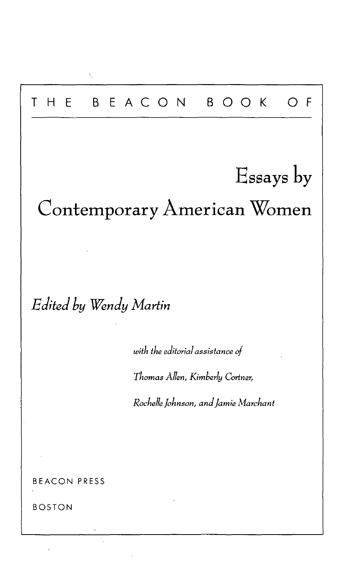# T H E BEACO N BOO K O F Essays by Contemporary American Women *Edited by Wendy Martin with the editorial assistance of Thomas Allen, Kimberly Cortner, Rochelle Johnson, and Jamie Marchant* BEACON PRESS BOSTON

Ñ,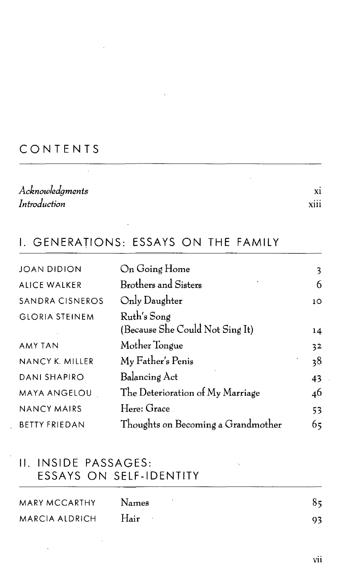### **CONTENTS**

| Acknowledgments |                  |
|-----------------|------------------|
| Introduction    | $\cdots$<br>XIII |

#### I. GENERATIONS: ESSAYS ON THE FAMILY

| On Going Home                      | 3  |
|------------------------------------|----|
| <b>Brothers and Sisters</b>        | 6  |
| Only Daughter                      | 10 |
| Ruth's Song                        |    |
| (Because She Could Not Sing It)    | 14 |
| Mother Tongue                      | 32 |
| My Father's Penis                  | 38 |
| Balancing Act                      | 43 |
| The Deterioration of My Marriage   | 46 |
| Here: Grace                        | 53 |
| Thoughts on Becoming a Grandmother | 65 |
|                                    |    |

#### II. INSIDE PASSAGES: ESSAYS ON SELF-IDENTITY

 $\mathcal{L}^{\pm}$ 

| MARY MCCARTHY  | <b>Names</b> | 85 |
|----------------|--------------|----|
| MARCIA ALDRICH | <b>Hair</b>  | 93 |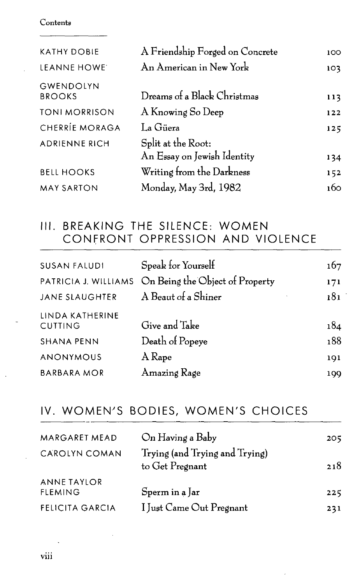#### Contents

| <b>KATHY DOBIE</b>                | A Friendship Forged on Concrete                   | 100  |
|-----------------------------------|---------------------------------------------------|------|
| LEANNE HOWE                       | An American in New York                           | 103  |
| <b>GWENDOLYN</b><br><b>BROOKS</b> | Dreams of a Black Christmas                       | 113  |
| <b>TONI MORRISON</b>              | A Knowing So Deep                                 | 122  |
| CHERRÍE MORAGA                    | La Güera                                          | 125  |
| <b>ADRIENNE RICH</b>              | Split at the Root:<br>An Essay on Jewish Identity | 134  |
| <b>BELL HOOKS</b>                 | Writing from the Darkness                         | 152  |
| <b>MAY SARTON</b>                 | Monday, May 3rd, 1982                             | 1бо. |

## III. BREAKING THE SILENCE: WOMEN CONFRONT OPPRESSION AND VIOLENCE

| <b>SUSAN FALUDI</b>               | Speak for Yourself                                   | 167 |
|-----------------------------------|------------------------------------------------------|-----|
|                                   | PATRICIA J. WILLIAMS On Being the Object of Property | 171 |
| <b>JANE SLAUGHTER</b>             | A Beaut of a Shiner                                  | 181 |
| LINDA KATHERINE<br><b>CUTTING</b> | Give and Take                                        | 184 |
| <b>SHANA PENN</b>                 | Death of Popeye                                      | 188 |
| ANONYMOUS                         | A Rape                                               | 191 |
| <b>BARBARA MOR</b>                | Amazing Rage                                         | 199 |

# IV. WOMEN'S BODIES, WOMEN'S CHOICES

| MARGARET MEAD                 | On Having a Baby                                  | 205 |
|-------------------------------|---------------------------------------------------|-----|
| CAROLYN COMAN                 | Trying (and Trying and Trying)<br>to Get Pregnant | 218 |
| ANNE TAYLOR<br><b>FLEMING</b> | Sperm in a Jar                                    | 225 |
| <b>FELICITA GARCIA</b>        | I Just Came Out Pregnant                          | 231 |